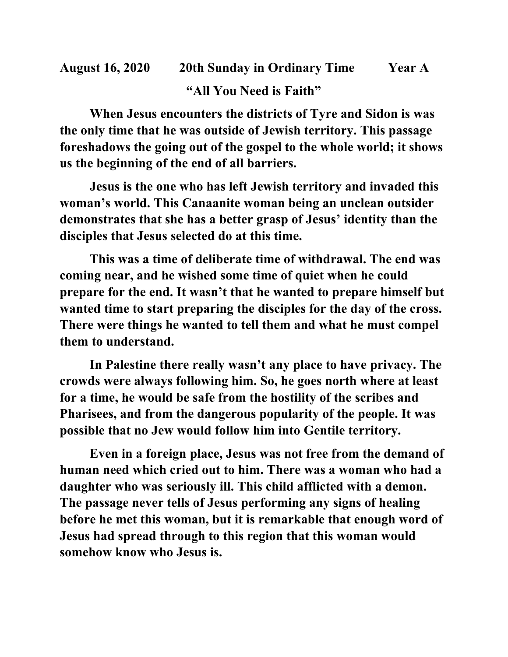**When Jesus encounters the districts of Tyre and Sidon is was the only time that he was outside of Jewish territory. This passage foreshadows the going out of the gospel to the whole world; it shows us the beginning of the end of all barriers.**

**Jesus is the one who has left Jewish territory and invaded this woman's world. This Canaanite woman being an unclean outsider demonstrates that she has a better grasp of Jesus' identity than the disciples that Jesus selected do at this time.**

**This was a time of deliberate time of withdrawal. The end was coming near, and he wished some time of quiet when he could prepare for the end. It wasn't that he wanted to prepare himself but wanted time to start preparing the disciples for the day of the cross. There were things he wanted to tell them and what he must compel them to understand.**

**In Palestine there really wasn't any place to have privacy. The crowds were always following him. So, he goes north where at least for a time, he would be safe from the hostility of the scribes and Pharisees, and from the dangerous popularity of the people. It was possible that no Jew would follow him into Gentile territory.**

**Even in a foreign place, Jesus was not free from the demand of human need which cried out to him. There was a woman who had a daughter who was seriously ill. This child afflicted with a demon. The passage never tells of Jesus performing any signs of healing before he met this woman, but it is remarkable that enough word of Jesus had spread through to this region that this woman would somehow know who Jesus is.**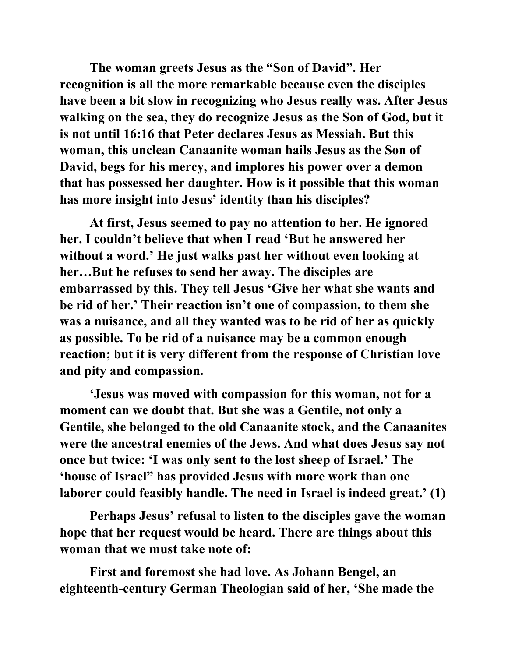**The woman greets Jesus as the "Son of David". Her recognition is all the more remarkable because even the disciples have been a bit slow in recognizing who Jesus really was. After Jesus walking on the sea, they do recognize Jesus as the Son of God, but it is not until 16:16 that Peter declares Jesus as Messiah. But this woman, this unclean Canaanite woman hails Jesus as the Son of David, begs for his mercy, and implores his power over a demon that has possessed her daughter. How is it possible that this woman has more insight into Jesus' identity than his disciples?**

**At first, Jesus seemed to pay no attention to her. He ignored her. I couldn't believe that when I read 'But he answered her without a word.' He just walks past her without even looking at her…But he refuses to send her away. The disciples are embarrassed by this. They tell Jesus 'Give her what she wants and be rid of her.' Their reaction isn't one of compassion, to them she was a nuisance, and all they wanted was to be rid of her as quickly as possible. To be rid of a nuisance may be a common enough reaction; but it is very different from the response of Christian love and pity and compassion.**

**'Jesus was moved with compassion for this woman, not for a moment can we doubt that. But she was a Gentile, not only a Gentile, she belonged to the old Canaanite stock, and the Canaanites were the ancestral enemies of the Jews. And what does Jesus say not once but twice: 'I was only sent to the lost sheep of Israel.' The 'house of Israel" has provided Jesus with more work than one laborer could feasibly handle. The need in Israel is indeed great.' (1)**

**Perhaps Jesus' refusal to listen to the disciples gave the woman hope that her request would be heard. There are things about this woman that we must take note of:**

**First and foremost she had love. As Johann Bengel, an eighteenth-century German Theologian said of her, 'She made the**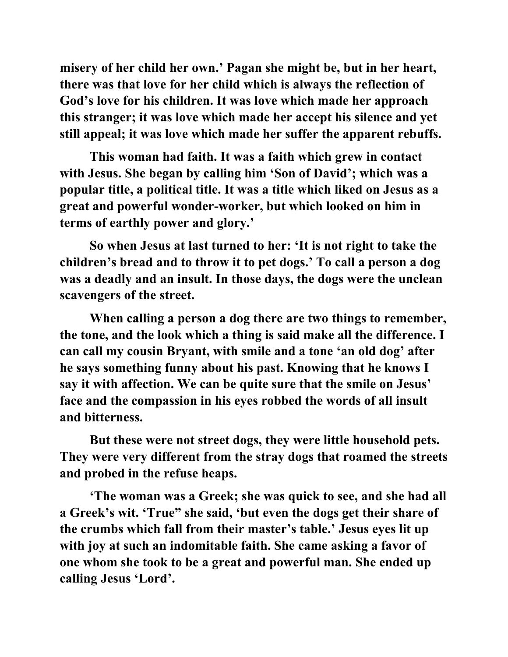**misery of her child her own.' Pagan she might be, but in her heart, there was that love for her child which is always the reflection of God's love for his children. It was love which made her approach this stranger; it was love which made her accept his silence and yet still appeal; it was love which made her suffer the apparent rebuffs.**

**This woman had faith. It was a faith which grew in contact with Jesus. She began by calling him 'Son of David'; which was a popular title, a political title. It was a title which liked on Jesus as a great and powerful wonder-worker, but which looked on him in terms of earthly power and glory.'**

**So when Jesus at last turned to her: 'It is not right to take the children's bread and to throw it to pet dogs.' To call a person a dog was a deadly and an insult. In those days, the dogs were the unclean scavengers of the street.** 

**When calling a person a dog there are two things to remember, the tone, and the look which a thing is said make all the difference. I can call my cousin Bryant, with smile and a tone 'an old dog' after he says something funny about his past. Knowing that he knows I say it with affection. We can be quite sure that the smile on Jesus' face and the compassion in his eyes robbed the words of all insult and bitterness.**

**But these were not street dogs, they were little household pets. They were very different from the stray dogs that roamed the streets and probed in the refuse heaps.** 

**'The woman was a Greek; she was quick to see, and she had all a Greek's wit. 'True" she said, 'but even the dogs get their share of the crumbs which fall from their master's table.' Jesus eyes lit up with joy at such an indomitable faith. She came asking a favor of one whom she took to be a great and powerful man. She ended up calling Jesus 'Lord'.**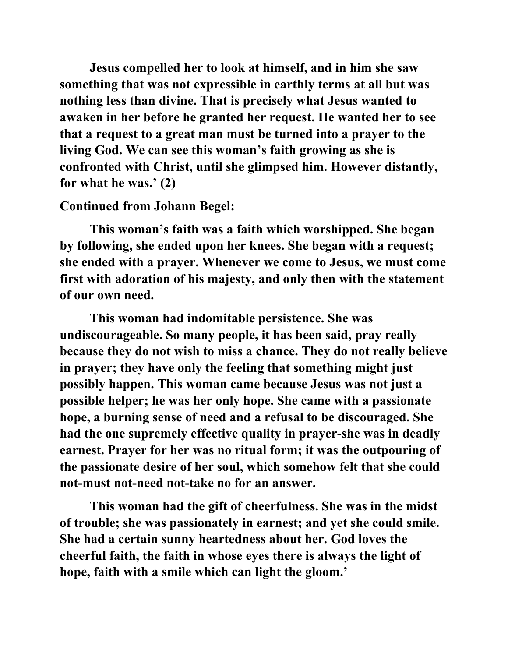**Jesus compelled her to look at himself, and in him she saw something that was not expressible in earthly terms at all but was nothing less than divine. That is precisely what Jesus wanted to awaken in her before he granted her request. He wanted her to see that a request to a great man must be turned into a prayer to the living God. We can see this woman's faith growing as she is confronted with Christ, until she glimpsed him. However distantly, for what he was.' (2)**

## **Continued from Johann Begel:**

**This woman's faith was a faith which worshipped. She began by following, she ended upon her knees. She began with a request; she ended with a prayer. Whenever we come to Jesus, we must come first with adoration of his majesty, and only then with the statement of our own need.**

**This woman had indomitable persistence. She was undiscourageable. So many people, it has been said, pray really because they do not wish to miss a chance. They do not really believe in prayer; they have only the feeling that something might just possibly happen. This woman came because Jesus was not just a possible helper; he was her only hope. She came with a passionate hope, a burning sense of need and a refusal to be discouraged. She had the one supremely effective quality in prayer-she was in deadly earnest. Prayer for her was no ritual form; it was the outpouring of the passionate desire of her soul, which somehow felt that she could not-must not-need not-take no for an answer.**

**This woman had the gift of cheerfulness. She was in the midst of trouble; she was passionately in earnest; and yet she could smile. She had a certain sunny heartedness about her. God loves the cheerful faith, the faith in whose eyes there is always the light of hope, faith with a smile which can light the gloom.'**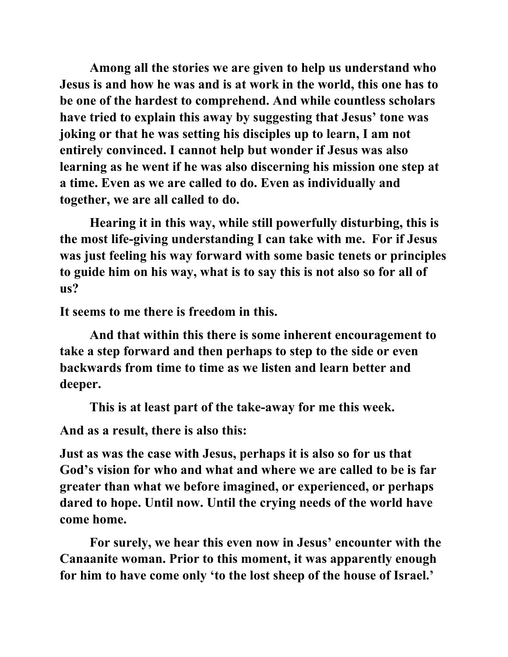**Among all the stories we are given to help us understand who Jesus is and how he was and is at work in the world, this one has to be one of the hardest to comprehend. And while countless scholars have tried to explain this away by suggesting that Jesus' tone was joking or that he was setting his disciples up to learn, I am not entirely convinced. I cannot help but wonder if Jesus was also learning as he went if he was also discerning his mission one step at a time. Even as we are called to do. Even as individually and together, we are all called to do.**

**Hearing it in this way, while still powerfully disturbing, this is the most life-giving understanding I can take with me. For if Jesus was just feeling his way forward with some basic tenets or principles to guide him on his way, what is to say this is not also so for all of us?**

**It seems to me there is freedom in this.**

**And that within this there is some inherent encouragement to take a step forward and then perhaps to step to the side or even backwards from time to time as we listen and learn better and deeper.**

**This is at least part of the take-away for me this week.**

**And as a result, there is also this:**

**Just as was the case with Jesus, perhaps it is also so for us that God's vision for who and what and where we are called to be is far greater than what we before imagined, or experienced, or perhaps dared to hope. Until now. Until the crying needs of the world have come home.**

**For surely, we hear this even now in Jesus' encounter with the Canaanite woman. Prior to this moment, it was apparently enough for him to have come only 'to the lost sheep of the house of Israel.'**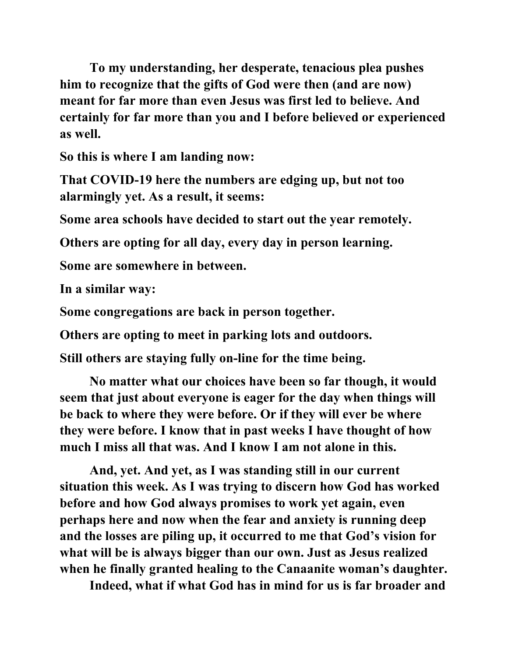**To my understanding, her desperate, tenacious plea pushes him to recognize that the gifts of God were then (and are now) meant for far more than even Jesus was first led to believe. And certainly for far more than you and I before believed or experienced as well.**

**So this is where I am landing now:**

**That COVID-19 here the numbers are edging up, but not too alarmingly yet. As a result, it seems:**

**Some area schools have decided to start out the year remotely.**

**Others are opting for all day, every day in person learning.**

**Some are somewhere in between.**

**In a similar way:**

**Some congregations are back in person together.**

**Others are opting to meet in parking lots and outdoors.**

**Still others are staying fully on-line for the time being.**

**No matter what our choices have been so far though, it would seem that just about everyone is eager for the day when things will be back to where they were before. Or if they will ever be where they were before. I know that in past weeks I have thought of how much I miss all that was. And I know I am not alone in this.** 

**And, yet. And yet, as I was standing still in our current situation this week. As I was trying to discern how God has worked before and how God always promises to work yet again, even perhaps here and now when the fear and anxiety is running deep and the losses are piling up, it occurred to me that God's vision for what will be is always bigger than our own. Just as Jesus realized when he finally granted healing to the Canaanite woman's daughter.** 

**Indeed, what if what God has in mind for us is far broader and**